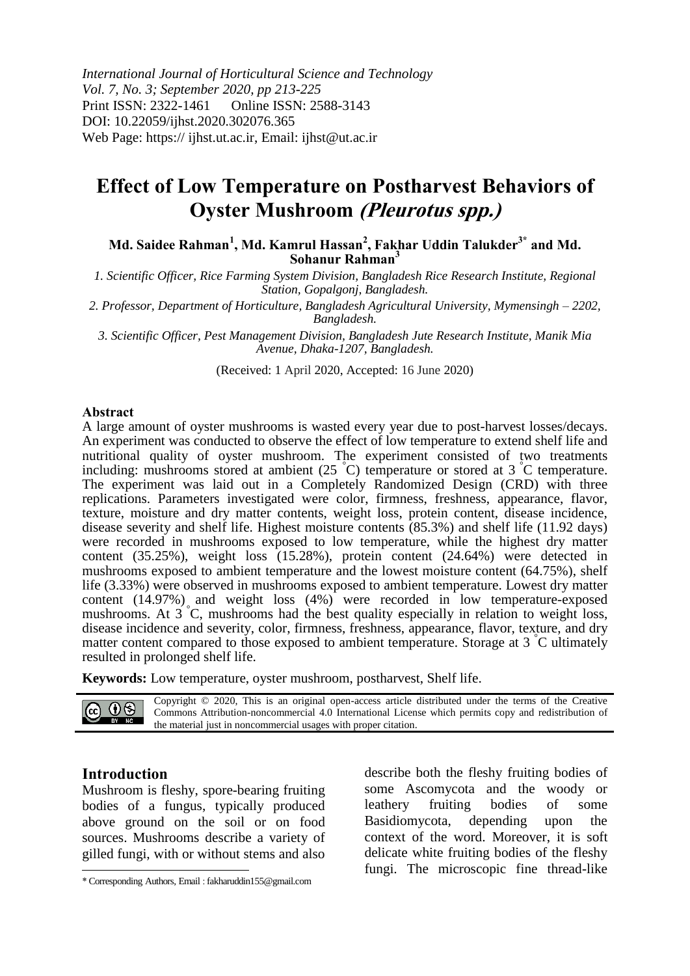*International Journal of Horticultural Science and Technology Vol. 7, No. 3; September 2020, pp 213-225* Print ISSN: 2322-1461 Online ISSN: 2588-3143 DOI: 10.22059/ijhst.2020.302076.365 Web Page: https:// ijhst.ut.ac.ir, Email: ijhst@ut.ac.ir

# **Effect of Low Temperature on Postharvest Behaviors of Oyster Mushroom (Pleurotus spp.)**

**Md. Saidee Rahman<sup>1</sup> , Md. Kamrul Hassan<sup>2</sup> , Fakhar Uddin Talukder3\* and Md. Sohanur Rahman<sup>3</sup>**

*1. Scientific Officer, Rice Farming System Division, Bangladesh Rice Research Institute, Regional Station, Gopalgonj, Bangladesh.*

*2. Professor, Department of Horticulture, Bangladesh Agricultural University, Mymensingh – 2202, Bangladesh.*

*3. Scientific Officer, Pest Management Division, Bangladesh Jute Research Institute, Manik Mia Avenue, Dhaka-1207, Bangladesh.*

(Received: 1 April 2020, Accepted: 16 June 2020)

#### **Abstract**

A large amount of oyster mushrooms is wasted every year due to post-harvest losses/decays. An experiment was conducted to observe the effect of low temperature to extend shelf life and nutritional quality of oyster mushroom. The experiment consisted of two treatments including: mushrooms stored at ambient  $(25 \text{ }^{\circ}\text{C})$  temperature or stored at 3  $\text{ }^{\circ}\text{C}$  temperature. The experiment was laid out in a Completely Randomized Design (CRD) with three replications. Parameters investigated were color, firmness, freshness, appearance, flavor, texture, moisture and dry matter contents, weight loss, protein content, disease incidence, disease severity and shelf life. Highest moisture contents (85.3%) and shelf life (11.92 days) were recorded in mushrooms exposed to low temperature, while the highest dry matter content (35.25%), weight loss (15.28%), protein content (24.64%) were detected in mushrooms exposed to ambient temperature and the lowest moisture content (64.75%), shelf life (3.33%) were observed in mushrooms exposed to ambient temperature. Lowest dry matter content (14.97%) and weight loss (4%) were recorded in low temperature-exposed mushrooms. At 3 °C, mushrooms had the best quality especially in relation to weight loss, disease incidence and severity, color, firmness, freshness, appearance, flavor, texture, and dry matter content compared to those exposed to ambient temperature. Storage at  $3\degree C$  ultimately resulted in prolonged shelf life.

**Keywords:** Low temperature, oyster mushroom, postharvest, Shelf life.

Copyright © 2020, This is an original open-access article distributed under the terms of the Creative @ ⊕⊗ Commons Attribution-noncommercial 4.0 International License which permits copy and redistribution of BY NC the material just in noncommercial usages with proper citation.

# **Introduction**

Mushroom is fleshy, spore-bearing fruiting bodies of a fungus, typically produced above ground on the soil or on food sources. Mushrooms describe a variety of gilled fungi, with or without stems and also  $\overline{a}$ 

describe both the fleshy fruiting bodies of some Ascomycota and the woody or leathery fruiting bodies of some Basidiomycota, depending upon the context of the word. Moreover, it is soft delicate white fruiting bodies of the fleshy fungi. The microscopic fine thread-like

<sup>\*</sup> Corresponding Authors, Email : fakharuddin155@gmail.com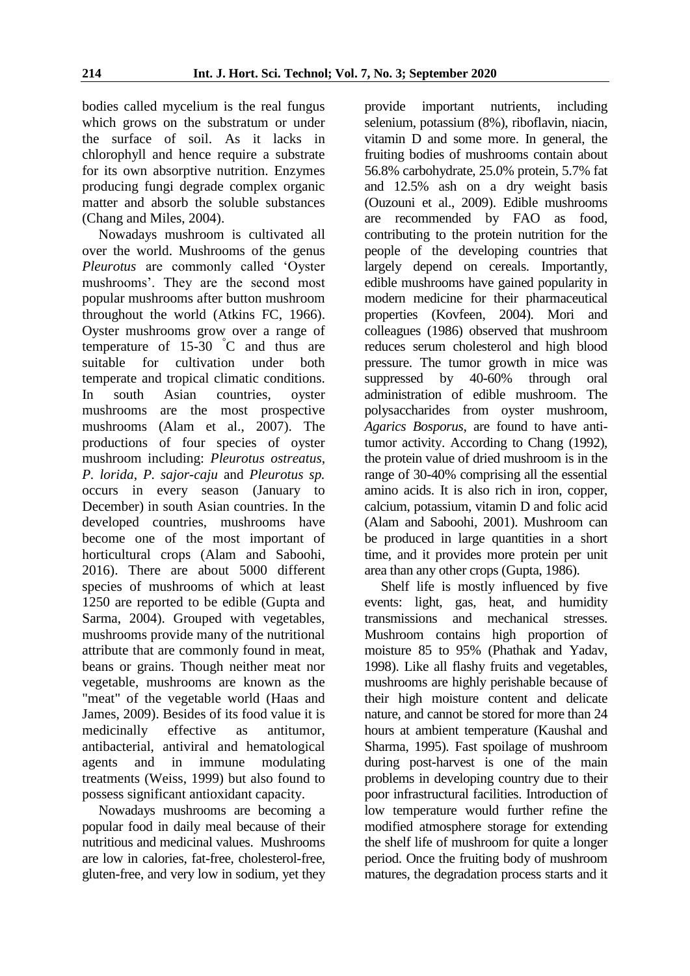bodies called mycelium is the real fungus which grows on the substratum or under the surface of soil. As it lacks in chlorophyll and hence require a substrate for its own absorptive nutrition. Enzymes producing fungi degrade complex organic matter and absorb the soluble substances (Chang and Miles, 2004).

Nowadays mushroom is cultivated all over the world. Mushrooms of the genus *Pleurotus* are commonly called 'Oyster mushrooms'. They are the second most popular mushrooms after button mushroom throughout the world (Atkins FC, 1966). Oyster mushrooms grow over a range of temperature of  $15-30$  °C and thus are suitable for cultivation under both temperate and tropical climatic conditions. In south Asian countries, oyster mushrooms are the most prospective mushrooms (Alam et al., 2007). The productions of four species of oyster mushroom including: *Pleurotus ostreatus*, *P. lorida*, *P. sajor-caju* and *Pleurotus sp.* occurs in every season (January to December) in south Asian countries. In the developed countries, mushrooms have become one of the most important of horticultural crops (Alam and Saboohi, 2016). There are about 5000 different species of mushrooms of which at least 1250 are reported to be edible (Gupta and Sarma, 2004). Grouped with vegetables, mushrooms provide many of the nutritional attribute that are commonly found in meat, beans or grains. Though neither meat nor vegetable, mushrooms are known as the "meat" of the vegetable world (Haas and James, 2009). Besides of its food value it is medicinally effective as antitumor, antibacterial, antiviral and hematological agents and in immune modulating treatments (Weiss, 1999) but also found to possess significant antioxidant capacity.

Nowadays mushrooms are becoming a popular food in daily meal because of their nutritious and medicinal values. Mushrooms are low in calories, fat-free, cholesterol-free, gluten-free, and very low in sodium, yet they

provide important nutrients, including selenium, potassium (8%), riboflavin, niacin, vitamin D and some more. In general, the fruiting bodies of mushrooms contain about 56.8% carbohydrate, 25.0% protein, 5.7% fat and 12.5% ash on a dry weight basis (Ouzouni et al., 2009). Edible mushrooms are recommended by FAO as food, contributing to the protein nutrition for the people of the developing countries that largely depend on cereals. Importantly, edible mushrooms have gained popularity in modern medicine for their pharmaceutical properties (Kovfeen, 2004). Mori and colleagues (1986) observed that mushroom reduces serum cholesterol and high blood pressure. The tumor growth in mice was suppressed by 40-60% through oral administration of edible mushroom. The polysaccharides from oyster mushroom, *Agarics Bosporus*, are found to have antitumor activity. According to Chang (1992), the protein value of dried mushroom is in the range of 30-40% comprising all the essential amino acids. It is also rich in iron, copper, calcium, potassium, vitamin D and folic acid (Alam and Saboohi, 2001). Mushroom can be produced in large quantities in a short time, and it provides more protein per unit area than any other crops (Gupta, 1986).

Shelf life is mostly influenced by five events: light, gas, heat, and humidity transmissions and mechanical stresses. Mushroom contains high proportion of moisture 85 to 95% (Phathak and Yadav, 1998). Like all flashy fruits and vegetables, mushrooms are highly perishable because of their high moisture content and delicate nature, and cannot be stored for more than 24 hours at ambient temperature (Kaushal and Sharma, 1995). Fast spoilage of mushroom during post-harvest is one of the main problems in developing country due to their poor infrastructural facilities. Introduction of low temperature would further refine the modified atmosphere storage for extending the shelf life of mushroom for quite a longer period. Once the fruiting body of mushroom matures, the degradation process starts and it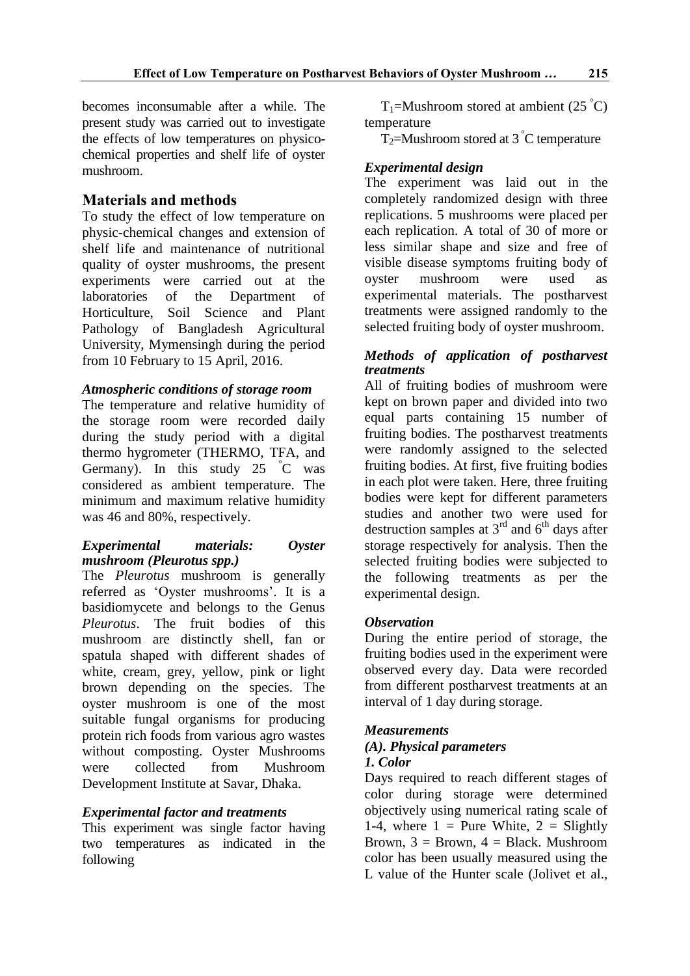becomes inconsumable after a while. The present study was carried out to investigate the effects of low temperatures on physicochemical properties and shelf life of oyster mushroom.

# **Materials and methods**

To study the effect of low temperature on physic-chemical changes and extension of shelf life and maintenance of nutritional quality of oyster mushrooms, the present experiments were carried out at the laboratories of the Department of Horticulture, Soil Science and Plant Pathology of Bangladesh Agricultural University, Mymensingh during the period from 10 February to 15 April, 2016.

# *Atmospheric conditions of storage room*

The temperature and relative humidity of the storage room were recorded daily during the study period with a digital thermo hygrometer (THERMO, TFA, and Germany). In this study  $25 \text{ °C}$  was considered as ambient temperature. The minimum and maximum relative humidity was 46 and 80%, respectively.

# *Experimental materials: Oyster mushroom (Pleurotus spp.)*

The *Pleurotus* mushroom is generally referred as 'Oyster mushrooms'. It is a basidiomycete and belongs to the Genus *Pleurotus*. The fruit bodies of this mushroom are distinctly shell, fan or spatula shaped with different shades of white, cream, grey, yellow, pink or light brown depending on the species. The oyster mushroom is one of the most suitable fungal organisms for producing protein rich foods from various agro wastes without composting. Oyster Mushrooms were collected from Mushroom Development Institute at Savar, Dhaka.

# *Experimental factor and treatments*

This experiment was single factor having two temperatures as indicated in the following

 $T_1$ =Mushroom stored at ambient (25 °C) temperature

T<sub>2</sub>=Mushroom stored at 3  $\degree$ C temperature

# *Experimental design*

The experiment was laid out in the completely randomized design with three replications. 5 mushrooms were placed per each replication. A total of 30 of more or less similar shape and size and free of visible disease symptoms fruiting body of oyster mushroom were used as experimental materials. The postharvest treatments were assigned randomly to the selected fruiting body of oyster mushroom.

# *Methods of application of postharvest treatments*

All of fruiting bodies of mushroom were kept on brown paper and divided into two equal parts containing 15 number of fruiting bodies. The postharvest treatments were randomly assigned to the selected fruiting bodies. At first, five fruiting bodies in each plot were taken. Here, three fruiting bodies were kept for different parameters studies and another two were used for destruction samples at  $3<sup>rd</sup>$  and  $6<sup>th</sup>$  days after storage respectively for analysis. Then the selected fruiting bodies were subjected to the following treatments as per the experimental design.

# *Observation*

During the entire period of storage, the fruiting bodies used in the experiment were observed every day. Data were recorded from different postharvest treatments at an interval of 1 day during storage.

# *Measurements*

# *(A). Physical parameters 1. Color*

Days required to reach different stages of color during storage were determined objectively using numerical rating scale of 1-4, where  $1 =$  Pure White,  $2 =$  Slightly Brown,  $3 = Brown$ ,  $4 = Black$ . Mushroom color has been usually measured using the L value of the Hunter scale (Jolivet et al.,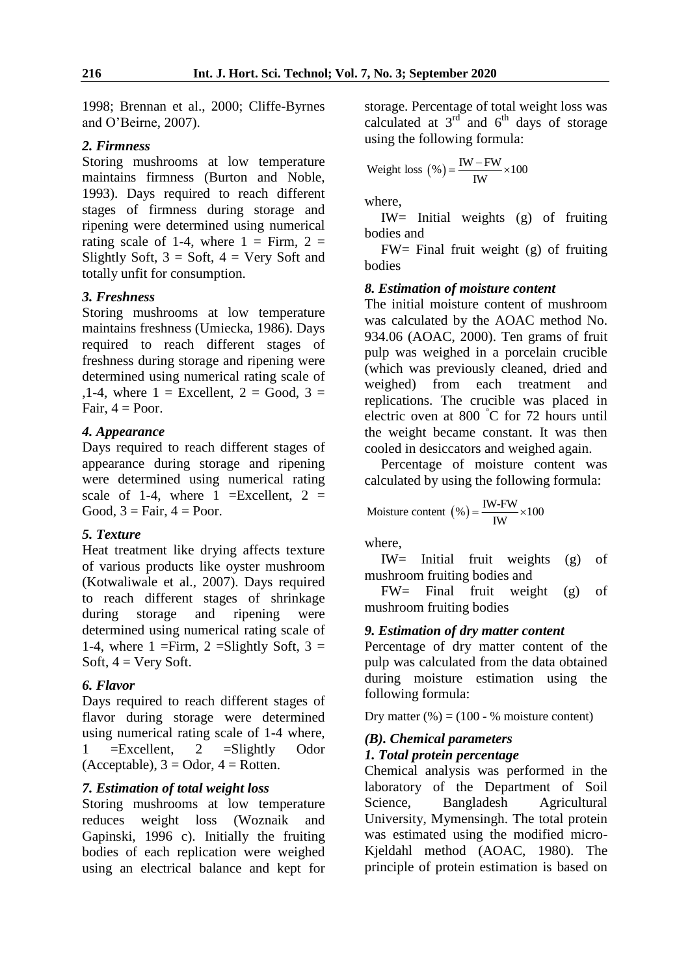1998; Brennan et al., 2000; Cliffe-Byrnes and O'Beirne, 2007).

### *2. Firmness*

Storing mushrooms at low temperature maintains firmness (Burton and Noble, 1993). Days required to reach different stages of firmness during storage and ripening were determined using numerical rating scale of 1-4, where  $1 =$  Firm,  $2 =$ Slightly Soft,  $3 = Soft$ ,  $4 = Very Soft$  and totally unfit for consumption.

# *3. Freshness*

Storing mushrooms at low temperature maintains freshness (Umiecka, 1986). Days required to reach different stages of freshness during storage and ripening were determined using numerical rating scale of ,1-4, where  $1 =$  Excellent,  $2 =$  Good,  $3 =$ Fair,  $4 =$  Poor.

# *4. Appearance*

Days required to reach different stages of appearance during storage and ripening were determined using numerical rating scale of 1-4, where  $1 =$ Excellent,  $2 =$ Good,  $3 = \text{Fair}, 4 = \text{Poor}.$ 

# *5. Texture*

Heat treatment like drying affects texture of various products like oyster mushroom (Kotwaliwale et al., 2007). Days required to reach different stages of shrinkage during storage and ripening were determined using numerical rating scale of 1-4, where 1 = Firm, 2 = Slightly Soft,  $3 =$ Soft,  $4 = \text{Very Soft.}$ 

### *6. Flavor*

Days required to reach different stages of flavor during storage were determined using numerical rating scale of 1-4 where, 1  $=$ Excellent, 2  $=$ Slightly Odor (Acceptable),  $3 =$ Odor,  $4 =$ Rotten.

### *7. Estimation of total weight loss*

Storing mushrooms at low temperature reduces weight loss (Woznaik and Gapinski, 1996 c). Initially the fruiting bodies of each replication were weighed using an electrical balance and kept for

storage. Percentage of total weight loss was calculated at  $3<sup>rd</sup>$  and  $6<sup>th</sup>$  days of storage using the following formula:

Weight loss 
$$
(\%) = \frac{IW - FW}{IW} \times 100
$$

where,

IW= Initial weights (g) of fruiting bodies and

 $FW = Final$  fruit weight (g) of fruiting bodies

### *8. Estimation of moisture content*

The initial moisture content of mushroom was calculated by the AOAC method No. 934.06 (AOAC, 2000). Ten grams of fruit pulp was weighed in a porcelain crucible (which was previously cleaned, dried and weighed) from each treatment and replications. The crucible was placed in electric oven at 800 °C for 72 hours until the weight became constant. It was then cooled in desiccators and weighed again.

Percentage of moisture content was calculated by using the following formula:

Moisture content 
$$
(\%) = \frac{IW-FW}{IW} \times 100
$$

where,

IW= Initial fruit weights (g) of mushroom fruiting bodies and

FW= Final fruit weight (g) of mushroom fruiting bodies

### *9. Estimation of dry matter content*

Percentage of dry matter content of the pulp was calculated from the data obtained during moisture estimation using the following formula:

Dry matter  $(\%)=(100 - \% \text{ moisture content})$ 

# *(B). Chemical parameters*

# *1. Total protein percentage*

Chemical analysis was performed in the laboratory of the Department of Soil Science, Bangladesh Agricultural University, Mymensingh. The total protein was estimated using the modified micro-Kjeldahl method (AOAC, 1980). The principle of protein estimation is based on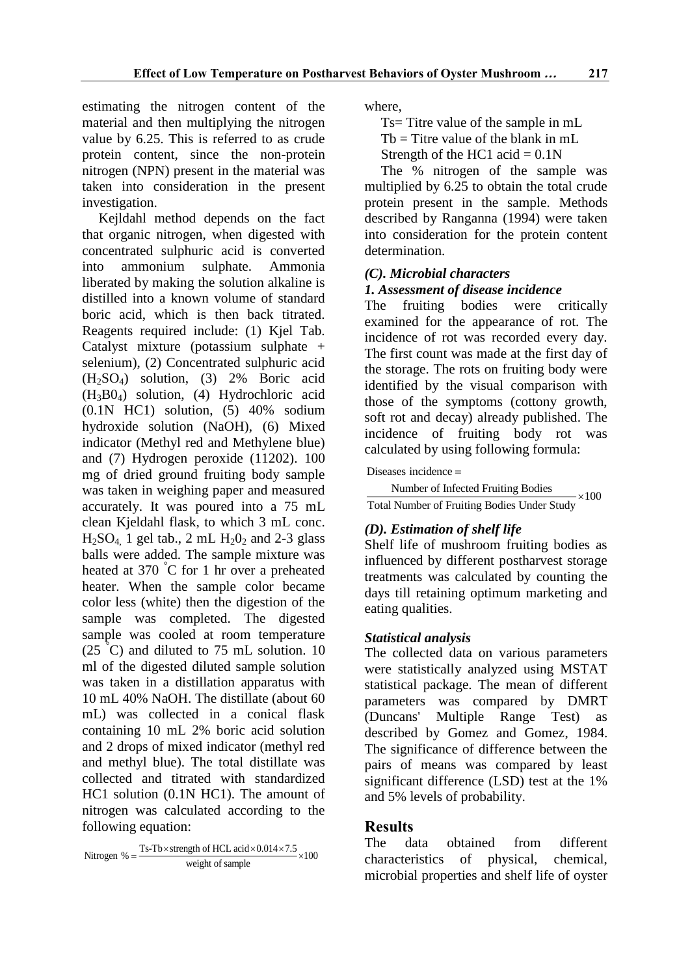estimating the nitrogen content of the material and then multiplying the nitrogen value by 6.25. This is referred to as crude protein content, since the non-protein nitrogen (NPN) present in the material was taken into consideration in the present investigation.

Kejldahl method depends on the fact that organic nitrogen, when digested with concentrated sulphuric acid is converted into ammonium sulphate. Ammonia liberated by making the solution alkaline is distilled into a known volume of standard boric acid, which is then back titrated. Reagents required include: (1) Kjel Tab. Catalyst mixture (potassium sulphate + selenium), (2) Concentrated sulphuric acid (H2SO4) solution, (3) 2% Boric acid (H3B04) solution, (4) Hydrochloric acid (0.1N HC1) solution, (5) 40% sodium hydroxide solution (NaOH), (6) Mixed indicator (Methyl red and Methylene blue) and (7) Hydrogen peroxide (11202). 100 mg of dried ground fruiting body sample was taken in weighing paper and measured accurately. It was poured into a 75 mL clean Kjeldahl flask, to which 3 mL conc.  $H<sub>2</sub>SO<sub>4</sub>$ , 1 gel tab., 2 mL  $H<sub>2</sub>O<sub>2</sub>$  and 2-3 glass balls were added. The sample mixture was heated at 370 °C for 1 hr over a preheated heater. When the sample color became color less (white) then the digestion of the sample was completed. The digested sample was cooled at room temperature  $(25 \degree C)$  and diluted to 75 mL solution. 10 ml of the digested diluted sample solution was taken in a distillation apparatus with 10 mL 40% NaOH. The distillate (about 60 mL) was collected in a conical flask containing 10 mL 2% boric acid solution and 2 drops of mixed indicator (methyl red and methyl blue). The total distillate was collected and titrated with standardized HC1 solution (0.1N HC1). The amount of nitrogen was calculated according to the following equation:

Nitrogen % =  $\frac{\text{Ts-Tb} \times \text{strength of HCL acid} \times 0.014 \times 7.5}{\times 100}$ itrogen % =  $\frac{28.16 \times 10^{-4} \text{ m/s}}{400 \text{ kg}}$  weight of sample  $=\frac{18-10\times \text{strength of HCL} \text{acid} \times 0.014 \times 7.5}{\times}$ 

where,

Ts= Titre value of the sample in mL

 $Tb = T$  itre value of the blank in mL

Strength of the HC1 acid  $= 0.1N$ 

The % nitrogen of the sample was multiplied by 6.25 to obtain the total crude protein present in the sample. Methods described by Ranganna (1994) were taken into consideration for the protein content determination.

# *(C). Microbial characters 1. Assessment of disease incidence*

The fruiting bodies were critically examined for the appearance of rot. The incidence of rot was recorded every day. The first count was made at the first day of the storage. The rots on fruiting body were identified by the visual comparison with those of the symptoms (cottony growth,

soft rot and decay) already published. The incidence of fruiting body rot was calculated by using following formula:

Diseases incidence =

Number of Infected Fruiting Bodies<br>Total Number of Fruiting Bodies Under Study

# *(D). Estimation of shelf life*

Shelf life of mushroom fruiting bodies as influenced by different postharvest storage treatments was calculated by counting the days till retaining optimum marketing and eating qualities.

# *Statistical analysis*

The collected data on various parameters were statistically analyzed using MSTAT statistical package. The mean of different parameters was compared by DMRT<br>(Duncans' Multiple Range Test) as Multiple Range Test) as described by Gomez and Gomez, 1984. The significance of difference between the pairs of means was compared by least significant difference (LSD) test at the 1% and 5% levels of probability.

# **Results**

The data obtained from different characteristics of physical, chemical, microbial properties and shelf life of oyster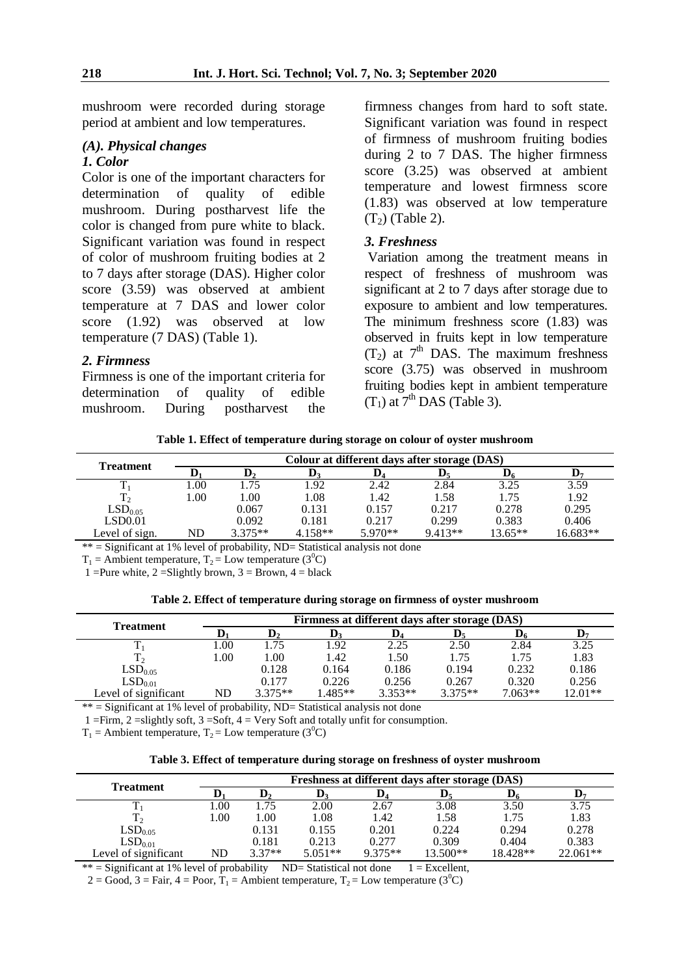mushroom were recorded during storage period at ambient and low temperatures.

### *(A). Physical changes 1. Color*

Color is one of the important characters for determination of quality of edible mushroom. During postharvest life the color is changed from pure white to black. Significant variation was found in respect of color of mushroom fruiting bodies at 2 to 7 days after storage (DAS). Higher color score (3.59) was observed at ambient temperature at 7 DAS and lower color score (1.92) was observed at low temperature (7 DAS) (Table 1).

### *2. Firmness*

Firmness is one of the important criteria for determination of quality of edible mushroom. During postharvest the firmness changes from hard to soft state. Significant variation was found in respect of firmness of mushroom fruiting bodies during 2 to 7 DAS. The higher firmness score (3.25) was observed at ambient temperature and lowest firmness score (1.83) was observed at low temperature  $(T<sub>2</sub>)$  (Table 2).

### *3. Freshness*

Variation among the treatment means in respect of freshness of mushroom was significant at 2 to 7 days after storage due to exposure to ambient and low temperatures. The minimum freshness score (1.83) was observed in fruits kept in low temperature  $(T_2)$  at  $7<sup>th</sup>$  DAS. The maximum freshness score (3.75) was observed in mushroom fruiting bodies kept in ambient temperature  $(T_1)$  at  $7<sup>th</sup>$  DAS (Table 3).

**Table 1. Effect of temperature during storage on colour of oyster mushroom**

| <b>Treatment</b>    | Colour at different days after storage (DAS) |           |           |           |           |           |          |  |  |  |
|---------------------|----------------------------------------------|-----------|-----------|-----------|-----------|-----------|----------|--|--|--|
|                     |                                              |           |           | IJ4       |           |           | D-       |  |  |  |
|                     | 0.00                                         | .75       | 1.92      | 2.42      | 2.84      | 3.25      | 3.59     |  |  |  |
| T <sub>2</sub>      | 1.00                                         | 1.00      | 1.08      | 1.42      | 1.58      | 1.75      | 1.92     |  |  |  |
| LSD <sub>0.05</sub> |                                              | 0.067     | 0.131     | 0.157     | 0.217     | 0.278     | 0.295    |  |  |  |
| LSD0.01             |                                              | 0.092     | 0.181     | 0.217     | 0.299     | 0.383     | 0.406    |  |  |  |
| Level of sign.      | ND                                           | $3.375**$ | $4.158**$ | $5.970**$ | $9.413**$ | $13.65**$ | 16.683** |  |  |  |

 $**$  = Significant at 1% level of probability, ND= Statistical analysis not done

 $T_1$  = Ambient temperature,  $T_2$  = Low temperature (3<sup>0</sup>C)

1 = Pure white, 2 = Slightly brown, 3 = Brown, 4 = black

| Table 2. Effect of temperature during storage on firmness of oyster mushroom |  |  |  |
|------------------------------------------------------------------------------|--|--|--|
|------------------------------------------------------------------------------|--|--|--|

| Treatment            |      |           |          |                | Firmness at different days after storage (DAS) |                |           |
|----------------------|------|-----------|----------|----------------|------------------------------------------------|----------------|-----------|
|                      | D,   |           | V3       | $\mathbf{D}_4$ | $\mathbf{D}_5$                                 | $\mathbf{D}_6$ |           |
|                      | .00. | .75       | 1.92     | 2.25           | 2.50                                           | 2.84           | 3.25      |
| $T_{2}$              | 00.  | .00.      | 1.42     | 1.50           | 1.75                                           | 1.75           | 1.83      |
| LSD <sub>0.05</sub>  |      | 0.128     | 0.164    | 0.186          | 0.194                                          | 0.232          | 0.186     |
| LSD <sub>0.01</sub>  |      | 0.177     | 0.226    | 0.256          | 0.267                                          | 0.320          | 0.256     |
| Level of significant | ND   | $3.375**$ | $.485**$ | $3.353**$      | $3.375**$                                      | $7.063**$      | $12.01**$ |

 $**$  = Significant at  $1\%$  level of probability, ND= Statistical analysis not done

1 = Firm, 2 = slightly soft, 3 = Soft, 4 = Very Soft and totally unfit for consumption.

 $T_1$  = Ambient temperature,  $T_2$  = Low temperature (3<sup>0</sup>C)

|  |  |  |  |  | Table 3. Effect of temperature during storage on freshness of oyster mushroom |
|--|--|--|--|--|-------------------------------------------------------------------------------|
|  |  |  |  |  |                                                                               |

| <b>Treatment</b>     |      | Freshness at different days after storage (DAS) |           |           |          |          |            |  |  |  |
|----------------------|------|-------------------------------------------------|-----------|-----------|----------|----------|------------|--|--|--|
|                      |      |                                                 | D٠        | D.        |          |          | D-         |  |  |  |
|                      | .00  | .75                                             | 2.00      | 2.67      | 3.08     | 3.50     | 3.75       |  |  |  |
| $T_{2}$              | 00.1 | 1.00                                            | 1.08      | 1.42      | 1.58     | 1.75     | 1.83       |  |  |  |
| LSD <sub>0.05</sub>  |      | 0.131                                           | 0.155     | 0.201     | 0.224    | 0.294    | 0.278      |  |  |  |
| LSD <sub>0.01</sub>  |      | 0.181                                           | 0.213     | 0.277     | 0.309    | 0.404    | 0.383      |  |  |  |
| Level of significant | ND   | $3.37**$                                        | $5.051**$ | $9.375**$ | 13.500** | 18.428** | $22.061**$ |  |  |  |

\*\* = Significant at 1% level of probability ND= Statistical not done  $1 =$  Excellent,

 $2 = Good$ ,  $3 = Fair$ ,  $4 = Poor$ ,  $T_1 = Ambient temperature$ ,  $T_2 = Low temperature (3<sup>0</sup>C)$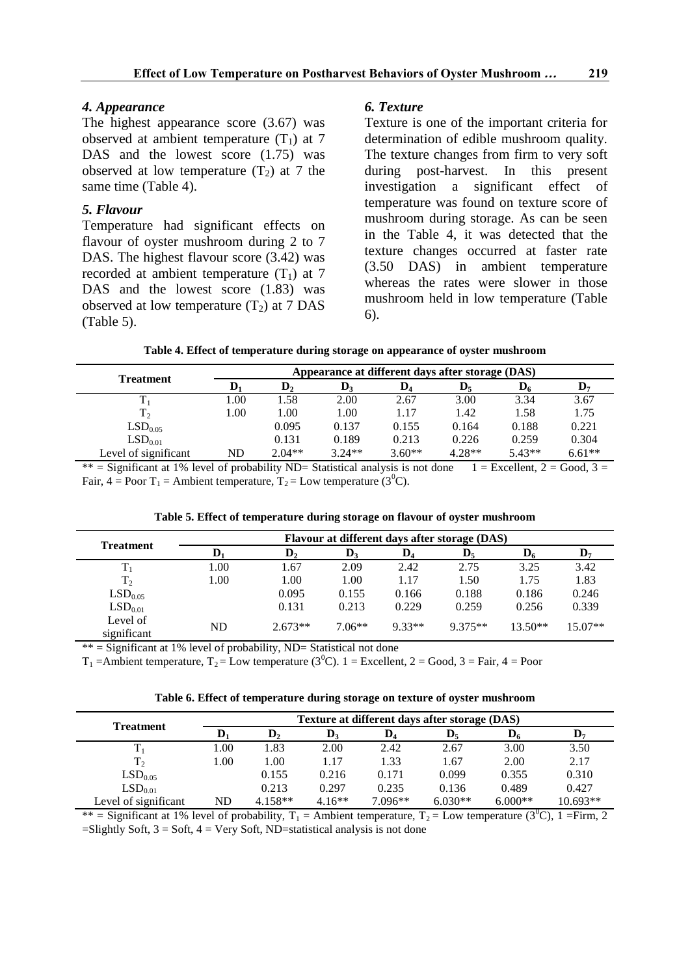### *4. Appearance*

The highest appearance score (3.67) was observed at ambient temperature  $(T_1)$  at 7 DAS and the lowest score  $(1.75)$  was observed at low temperature  $(T_2)$  at 7 the same time (Table 4).

### *5. Flavour*

Temperature had significant effects on flavour of oyster mushroom during 2 to 7 DAS. The highest flavour score (3.42) was recorded at ambient temperature  $(T_1)$  at 7 DAS and the lowest score (1.83) was observed at low temperature  $(T_2)$  at 7 DAS (Table 5).

### *6. Texture*

Texture is one of the important criteria for determination of edible mushroom quality. The texture changes from firm to very soft during post-harvest. In this present investigation a significant effect of temperature was found on texture score of mushroom during storage. As can be seen in the Table 4, it was detected that the texture changes occurred at faster rate (3.50 DAS) in ambient temperature whereas the rates were slower in those mushroom held in low temperature (Table 6).

|  | Table 4. Effect of temperature during storage on appearance of oyster mushroom |  |  |  |  |
|--|--------------------------------------------------------------------------------|--|--|--|--|
|--|--------------------------------------------------------------------------------|--|--|--|--|

| <b>Treatment</b>     |      | Appearance at different days after storage (DAS) |                |                |                  |                |                           |  |  |  |
|----------------------|------|--------------------------------------------------|----------------|----------------|------------------|----------------|---------------------------|--|--|--|
|                      |      | D,                                               | $\mathbf{D}_3$ | $\mathbf{D}_4$ | $\mathbf{D}_{5}$ | $\mathbf{D}_6$ | $\mathbf{D}_{\mathbf{z}}$ |  |  |  |
|                      | 1.00 | 1.58                                             | 2.00           | 2.67           | 3.00             | 3.34           | 3.67                      |  |  |  |
| T <sub>2</sub>       | 1.00 | 0.00                                             | 1.00           | 1.17           | 1.42             | 1.58           | 1.75                      |  |  |  |
| LSD <sub>0.05</sub>  |      | 0.095                                            | 0.137          | 0.155          | 0.164            | 0.188          | 0.221                     |  |  |  |
| LSD <sub>0.01</sub>  |      | 0.131                                            | 0.189          | 0.213          | 0.226            | 0.259          | 0.304                     |  |  |  |
| Level of significant | ND   | $2.04**$                                         | $3.24**$       | $3.60**$       | $4.28**$         | $5.43**$       | $6.61**$                  |  |  |  |

\*\* = Significant at 1% level of probability ND= Statistical analysis is not done  $1 =$  Excellent,  $2 =$  Good,  $3 =$ Fair,  $4 = \text{Poor } T_1 = \text{Ambient temperature}, T_2 = \text{Low temperature } (3^0\text{C}).$ 

| <b>Treatment</b>        | Flavour at different days after storage (DAS) |                |          |                |                |           |                |  |  |
|-------------------------|-----------------------------------------------|----------------|----------|----------------|----------------|-----------|----------------|--|--|
|                         |                                               | $\mathbf{D}_2$ | D,       | $\mathbf{D}_4$ | $\mathbf{D}_5$ | $D_6$     | $\mathbf{D}_7$ |  |  |
| $T_1$                   | 1.00                                          | 1.67           | 2.09     | 2.42           | 2.75           | 3.25      | 3.42           |  |  |
| T <sub>2</sub>          | 1.00                                          | 1.00           | 1.00     | 1.17           | 1.50           | 1.75      | 1.83           |  |  |
| LSD <sub>0.05</sub>     |                                               | 0.095          | 0.155    | 0.166          | 0.188          | 0.186     | 0.246          |  |  |
| LSD <sub>0.01</sub>     |                                               | 0.131          | 0.213    | 0.229          | 0.259          | 0.256     | 0.339          |  |  |
| Level of<br>significant | ND                                            | $2.673**$      | $7.06**$ | $9.33**$       | $9.375**$      | $13.50**$ | $15.07**$      |  |  |

 $**$  = Significant at 1% level of probability, ND= Statistical not done

 $T_1$  = Ambient temperature,  $T_2$  = Low temperature (3<sup>o</sup>C). 1 = Excellent, 2 = Good, 3 = Fair, 4 = Poor

**Table 6. Effect of temperature during storage on texture of oyster mushroom**

|                      |      |           |          |                | Texture at different days after storage (DAS) |                |            |
|----------------------|------|-----------|----------|----------------|-----------------------------------------------|----------------|------------|
| <b>Treatment</b>     | D    | D,        | D,       | $\mathbf{D}_4$ | $\mathbf{D}_{5}$                              | $\mathbf{D}_6$ | D,         |
|                      | L.00 | 1.83      | 2.00     | 2.42           | 2.67                                          | 3.00           | 3.50       |
| T <sub>2</sub>       | 1.00 | 1.00      | 1.17     | 1.33           | 1.67                                          | 2.00           | 2.17       |
| LSD <sub>0.05</sub>  |      | 0.155     | 0.216    | 0.171          | 0.099                                         | 0.355          | 0.310      |
| LSD <sub>0.01</sub>  |      | 0.213     | 0.297    | 0.235          | 0.136                                         | 0.489          | 0.427      |
| Level of significant | ND   | $4.158**$ | $4.16**$ | $7.096**$      | $6.030**$                                     | $6.000**$      | $10.693**$ |

\*\* = Significant at 1% level of probability,  $T_1 =$  Ambient temperature,  $T_2 =$  Low temperature (3<sup>0</sup>C), 1 = Firm, 2  $=$ Slightly Soft, 3 = Soft, 4 = Very Soft, ND $=$ statistical analysis is not done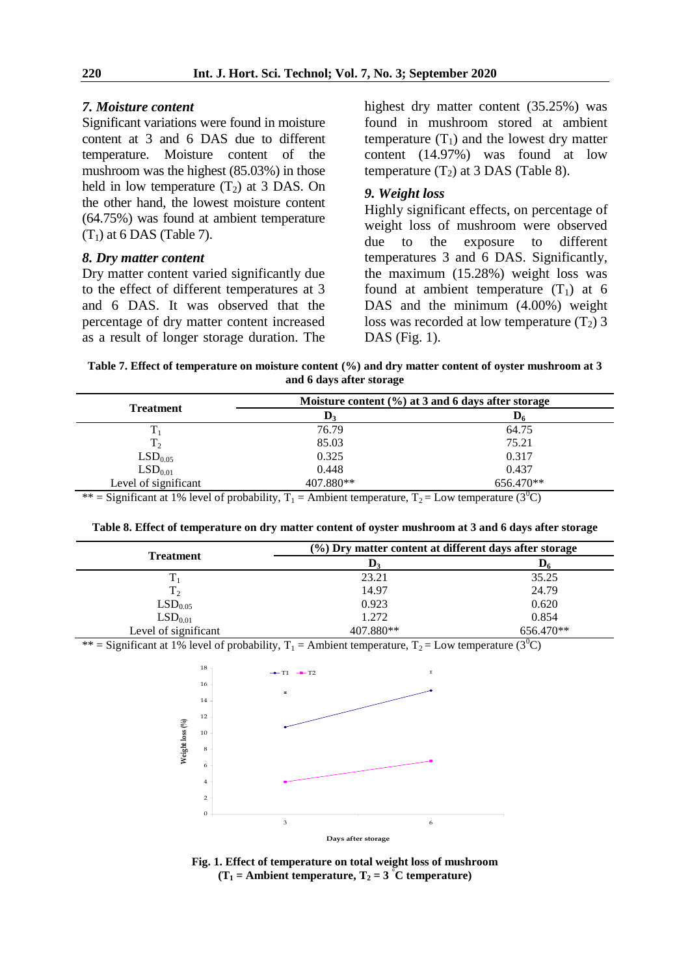#### *7. Moisture content*

Significant variations were found in moisture content at 3 and 6 DAS due to different temperature. Moisture content of the mushroom was the highest (85.03%) in those held in low temperature  $(T_2)$  at 3 DAS. On the other hand, the lowest moisture content (64.75%) was found at ambient temperature  $(T_1)$  at 6 DAS (Table 7).

#### *8. Dry matter content*

Dry matter content varied significantly due to the effect of different temperatures at 3 and 6 DAS. It was observed that the percentage of dry matter content increased as a result of longer storage duration. The highest dry matter content (35.25%) was found in mushroom stored at ambient temperature  $(T_1)$  and the lowest dry matter content (14.97%) was found at low temperature  $(T_2)$  at 3 DAS (Table 8).

#### *9. Weight loss*

Highly significant effects, on percentage of weight loss of mushroom were observed due to the exposure to different temperatures 3 and 6 DAS. Significantly, the maximum (15.28%) weight loss was found at ambient temperature  $(T_1)$  at 6 DAS and the minimum (4.00%) weight loss was recorded at low temperature  $(T_2)$  3 DAS (Fig. 1).

**Table 7. Effect of temperature on moisture content (%) and dry matter content of oyster mushroom at 3 and 6 days after storage**

| Moisture content $(\% )$ at 3 and 6 days after storage |           |  |  |  |  |  |
|--------------------------------------------------------|-----------|--|--|--|--|--|
| D <sub>2</sub>                                         | $D_6$     |  |  |  |  |  |
| 76.79                                                  | 64.75     |  |  |  |  |  |
| 85.03                                                  | 75.21     |  |  |  |  |  |
| 0.325                                                  | 0.317     |  |  |  |  |  |
| 0.448                                                  | 0.437     |  |  |  |  |  |
| 407.880**                                              | 656.470** |  |  |  |  |  |
|                                                        |           |  |  |  |  |  |

\*\* = Significant at 1% level of probability,  $T_1$  = Ambient temperature,  $T_2$  = Low temperature (3<sup>0</sup>C)

| Table 8. Effect of temperature on dry matter content of oyster mushroom at 3 and 6 days after storage |  |  |
|-------------------------------------------------------------------------------------------------------|--|--|
|                                                                                                       |  |  |

| <b>Treatment</b>     | $(\%)$ Dry matter content at different days after storage |           |  |
|----------------------|-----------------------------------------------------------|-----------|--|
|                      | $\mathbf{D}_3$                                            | D6        |  |
|                      | 23.21                                                     | 35.25     |  |
| T <sub>2</sub>       | 14.97                                                     | 24.79     |  |
| LSD <sub>0.05</sub>  | 0.923                                                     | 0.620     |  |
| LSD <sub>0.01</sub>  | 1.272                                                     | 0.854     |  |
| Level of significant | 407.880**                                                 | 656.470** |  |

\*\* = Significant at 1% level of probability,  $T_1$  = Ambient temperature,  $T_2$  = Low temperature (3<sup>0</sup>C)



**Fig. 1. Effect of temperature on total weight loss of mushroom**  $(T_1 =$  Ambient temperature,  $T_2 = 3$  °C temperature)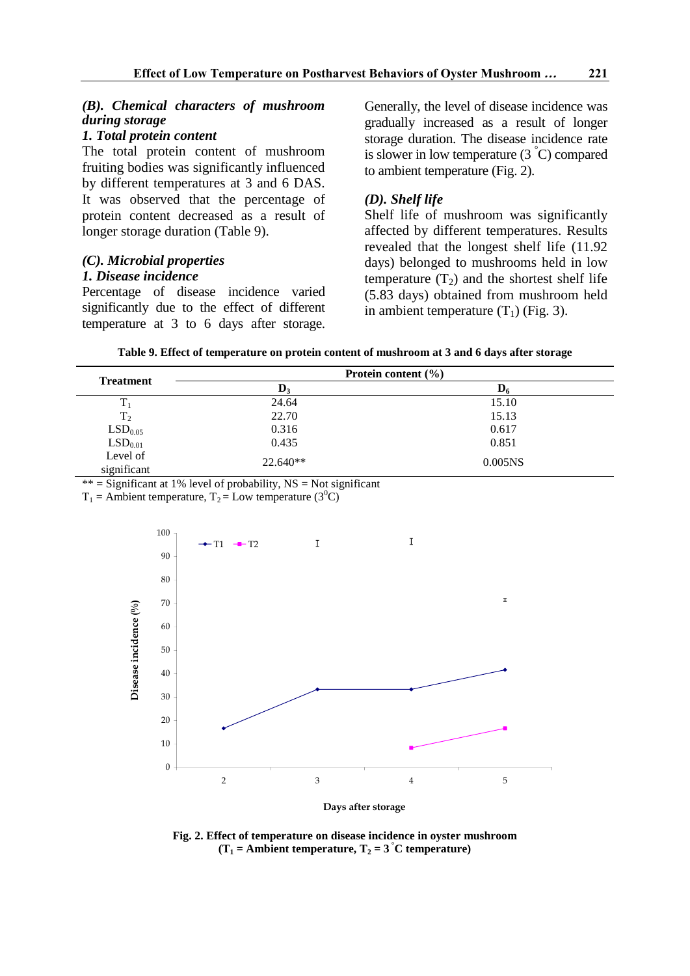# *(B). Chemical characters of mushroom during storage*

# *1. Total protein content*

The total protein content of mushroom fruiting bodies was significantly influenced by different temperatures at 3 and 6 DAS. It was observed that the percentage of protein content decreased as a result of longer storage duration (Table 9).

# *(C). Microbial properties 1. Disease incidence*

Percentage of disease incidence varied significantly due to the effect of different temperature at 3 to 6 days after storage. Generally, the level of disease incidence was gradually increased as a result of longer storage duration. The disease incidence rate is slower in low temperature  $(3<sup>°</sup>C)$  compared to ambient temperature (Fig. 2).

# *(D). Shelf life*

Shelf life of mushroom was significantly affected by different temperatures. Results revealed that the longest shelf life (11.92 days) belonged to mushrooms held in low temperature  $(T_2)$  and the shortest shelf life (5.83 days) obtained from mushroom held in ambient temperature  $(T_1)$  (Fig. 3).

|  |  |  | Table 9. Effect of temperature on protein content of mushroom at 3 and 6 days after storage |  |
|--|--|--|---------------------------------------------------------------------------------------------|--|
|--|--|--|---------------------------------------------------------------------------------------------|--|

|                                             |                | Protein content $(\% )$ |  |
|---------------------------------------------|----------------|-------------------------|--|
| <b>Treatment</b>                            | $\mathbf{D}_3$ |                         |  |
| $T_1$                                       | 24.64          | 15.10                   |  |
| T <sub>2</sub>                              | 22.70          | 15.13                   |  |
|                                             | 0.316          | 0.617                   |  |
| $\mathrm{LSD}_{0.05}$ $\mathrm{LSD}_{0.01}$ | 0.435          | 0.851                   |  |
| Level of<br>significant                     | $22.640**$     | 0.005 <sub>NS</sub>     |  |

\*\* = Significant at 1% level of probability,  $NS = Not$  significant

 $T_1$  = Ambient temperature,  $T_2$  = Low temperature (3<sup>0</sup>C)



**Fig. 2. Effect of temperature on disease incidence in oyster mushroom**  $(T_1 =$  Ambient temperature,  $T_2 = 3$  °C temperature)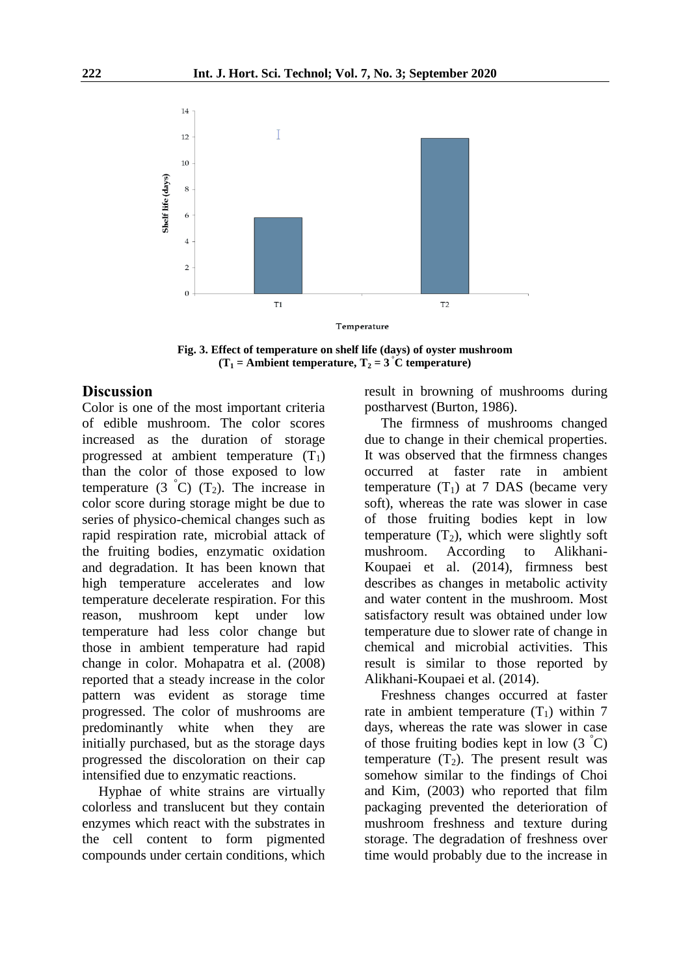

**Fig. 3. Effect of temperature on shelf life (days) of oyster mushroom**  $(T_1 =$  **Ambient temperature,**  $T_2 = 3$  **°C temperature)** 

### **Discussion**

Color is one of the most important criteria of edible mushroom. The color scores increased as the duration of storage progressed at ambient temperature  $(T_1)$ than the color of those exposed to low temperature  $(3 \text{ }^{\circ}C)$   $(T_2)$ . The increase in color score during storage might be due to series of physico-chemical changes such as rapid respiration rate, microbial attack of the fruiting bodies, enzymatic oxidation and degradation. It has been known that high temperature accelerates and low temperature decelerate respiration. For this reason, mushroom kept under low temperature had less color change but those in ambient temperature had rapid change in color. Mohapatra et al. (2008) reported that a steady increase in the color pattern was evident as storage time progressed. The color of mushrooms are predominantly white when they are initially purchased, but as the storage days progressed the discoloration on their cap intensified due to enzymatic reactions.

Hyphae of white strains are virtually colorless and translucent but they contain enzymes which react with the substrates in the cell content to form pigmented compounds under certain conditions, which result in browning of mushrooms during postharvest (Burton, 1986).

The firmness of mushrooms changed due to change in their chemical properties. It was observed that the firmness changes occurred at faster rate in ambient temperature  $(T_1)$  at 7 DAS (became very soft), whereas the rate was slower in case of those fruiting bodies kept in low temperature  $(T_2)$ , which were slightly soft mushroom. According to Alikhani-Koupaei et al. (2014), firmness best describes as changes in metabolic activity and water content in the mushroom. Most satisfactory result was obtained under low temperature due to slower rate of change in chemical and microbial activities. This result is similar to those reported by Alikhani-Koupaei et al. (2014).

Freshness changes occurred at faster rate in ambient temperature  $(T_1)$  within 7 days, whereas the rate was slower in case of those fruiting bodies kept in low  $(3 \degree C)$ temperature  $(T_2)$ . The present result was somehow similar to the findings of Choi and Kim, (2003) who reported that film packaging prevented the deterioration of mushroom freshness and texture during storage. The degradation of freshness over time would probably due to the increase in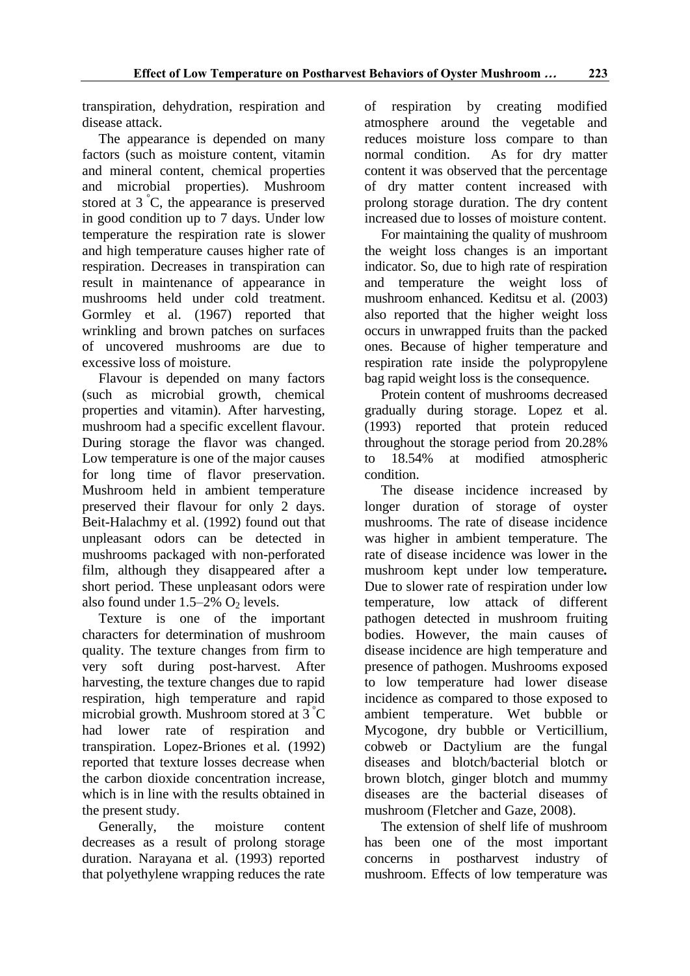transpiration, dehydration, respiration and disease attack.

The appearance is depended on many factors (such as moisture content, vitamin and mineral content, chemical properties and microbial properties). Mushroom stored at  $3^{\circ}$ C, the appearance is preserved in good condition up to 7 days. Under low temperature the respiration rate is slower and high temperature causes higher rate of respiration. Decreases in transpiration can result in maintenance of appearance in mushrooms held under cold treatment. Gormley et al. (1967) reported that wrinkling and brown patches on surfaces of uncovered mushrooms are due to excessive loss of moisture.

Flavour is depended on many factors (such as microbial growth, chemical properties and vitamin). After harvesting, mushroom had a specific excellent flavour. During storage the flavor was changed. Low temperature is one of the major causes for long time of flavor preservation. Mushroom held in ambient temperature preserved their flavour for only 2 days. Beit-Halachmy et al. (1992) found out that unpleasant odors can be detected in mushrooms packaged with non-perforated film, although they disappeared after a short period. These unpleasant odors were also found under  $1.5-2\%$  O<sub>2</sub> levels.

Texture is one of the important characters for determination of mushroom quality. The texture changes from firm to very soft during post-harvest. After harvesting, the texture changes due to rapid respiration, high temperature and rapid microbial growth. Mushroom stored at 3 °C had lower rate of respiration and transpiration. Lopez-Briones et al*.* (1992) reported that texture losses decrease when the carbon dioxide concentration increase, which is in line with the results obtained in the present study.

Generally, the moisture content decreases as a result of prolong storage duration. Narayana et al. (1993) reported that polyethylene wrapping reduces the rate of respiration by creating modified atmosphere around the vegetable and reduces moisture loss compare to than normal condition. As for dry matter content it was observed that the percentage of dry matter content increased with prolong storage duration. The dry content increased due to losses of moisture content.

For maintaining the quality of mushroom the weight loss changes is an important indicator. So, due to high rate of respiration and temperature the weight loss of mushroom enhanced. Keditsu et al. (2003) also reported that the higher weight loss occurs in unwrapped fruits than the packed ones. Because of higher temperature and respiration rate inside the polypropylene bag rapid weight loss is the consequence.

Protein content of mushrooms decreased gradually during storage. Lopez et al. (1993) reported that protein reduced throughout the storage period from 20.28%<br>to 18.54% at modified atmospheric to 18.54% at modified atmospheric condition.

The disease incidence increased by longer duration of storage of oyster mushrooms. The rate of disease incidence was higher in ambient temperature. The rate of disease incidence was lower in the mushroom kept under low temperature*.*  Due to slower rate of respiration under low temperature, low attack of different pathogen detected in mushroom fruiting bodies. However, the main causes of disease incidence are high temperature and presence of pathogen. Mushrooms exposed to low temperature had lower disease incidence as compared to those exposed to ambient temperature. Wet bubble or Mycogone, dry bubble or Verticillium, cobweb or Dactylium are the fungal diseases and blotch/bacterial blotch or brown blotch, ginger blotch and mummy diseases are the bacterial diseases of mushroom (Fletcher and Gaze, 2008).

The extension of shelf life of mushroom has been one of the most important concerns in postharvest industry of mushroom. Effects of low temperature was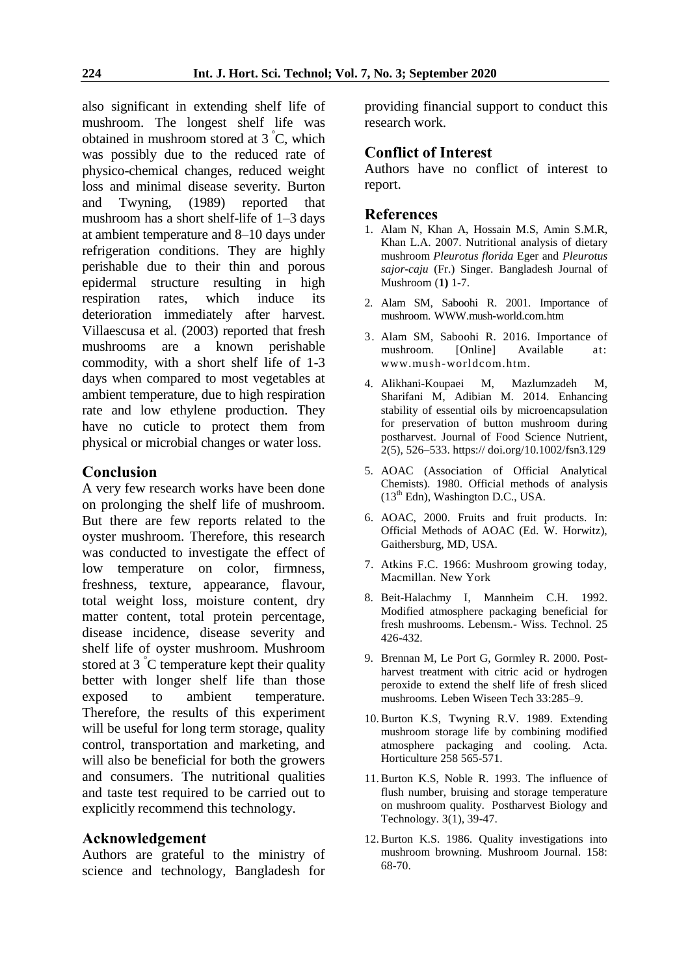also significant in extending shelf life of mushroom. The longest shelf life was obtained in mushroom stored at 3 °C, which was possibly due to the reduced rate of physico-chemical changes, reduced weight loss and minimal disease severity. Burton and Twyning, (1989) reported that mushroom has a short shelf-life of 1–3 days at ambient temperature and 8–10 days under refrigeration conditions. They are highly perishable due to their thin and porous epidermal structure resulting in high respiration rates, which induce its deterioration immediately after harvest. Villaescusa et al. (2003) reported that fresh mushrooms are a known perishable commodity, with a short shelf life of 1-3 days when compared to most vegetables at ambient temperature, due to high respiration rate and low ethylene production. They have no cuticle to protect them from physical or microbial changes or water loss.

# **Conclusion**

A very few research works have been done on prolonging the shelf life of mushroom. But there are few reports related to the oyster mushroom. Therefore, this research was conducted to investigate the effect of low temperature on color, firmness, freshness, texture, appearance, flavour, total weight loss, moisture content, dry matter content, total protein percentage, disease incidence, disease severity and shelf life of oyster mushroom. Mushroom stored at 3 °C temperature kept their quality better with longer shelf life than those exposed to ambient temperature. Therefore, the results of this experiment will be useful for long term storage, quality control, transportation and marketing, and will also be beneficial for both the growers and consumers. The nutritional qualities and taste test required to be carried out to explicitly recommend this technology.

# **Acknowledgement**

Authors are grateful to the ministry of science and technology, Bangladesh for

providing financial support to conduct this research work.

# **Conflict of Interest**

Authors have no conflict of interest to report.

### **References**

- 1. Alam N, Khan A, Hossain M.S, Amin S.M.R, Khan L.A. 2007. Nutritional analysis of dietary mushroom *Pleurotus florida* Eger and *Pleurotus sajor*-*caju* (Fr.) Singer. Bangladesh Journal of Mushroom (**1)** 1-7.
- 2. Alam SM, Saboohi R. 2001. Importance of mushroom. WWW.mush-world.com.htm
- 3. Alam SM, Saboohi R. 2016. Importance of mushroom. [Online] Available at: www.mush-worldcom.htm.
- 4. Alikhani-Koupaei M, Mazlumzadeh M, Sharifani M, Adibian M. 2014. Enhancing stability of essential oils by microencapsulation for preservation of button mushroom during postharvest. Journal of Food Science Nutrient, 2(5), 526–533. https:// doi.org/10.1002/fsn3.129
- 5. AOAC (Association of Official Analytical Chemists). 1980. Official methods of analysis  $(13<sup>th</sup> Edn)$ , Washington D.C., USA.
- 6. AOAC, 2000. Fruits and fruit products. In: Official Methods of AOAC (Ed. W. Horwitz), Gaithersburg, MD, USA.
- 7. Atkins F.C. 1966: Mushroom growing today, Macmillan. New York
- 8. Beit-Halachmy I, Mannheim C.H. 1992. Modified atmosphere packaging beneficial for fresh mushrooms. Lebensm.- Wiss. Technol. 25 426-432.
- 9. Brennan M, Le Port G, Gormley R. 2000. Postharvest treatment with citric acid or hydrogen peroxide to extend the shelf life of fresh sliced mushrooms. Leben Wiseen Tech 33:285–9.
- 10.Burton K.S, Twyning R.V. 1989. Extending mushroom storage life by combining modified atmosphere packaging and cooling. Acta. Horticulture 258 565-571.
- 11.Burton K.S, Noble R. 1993. The influence of flush number, bruising and storage temperature on mushroom quality. Postharvest Biology and Technology. 3(1), 39-47.
- 12.Burton K.S. 1986. Quality investigations into mushroom browning. Mushroom Journal. 158: 68-70.